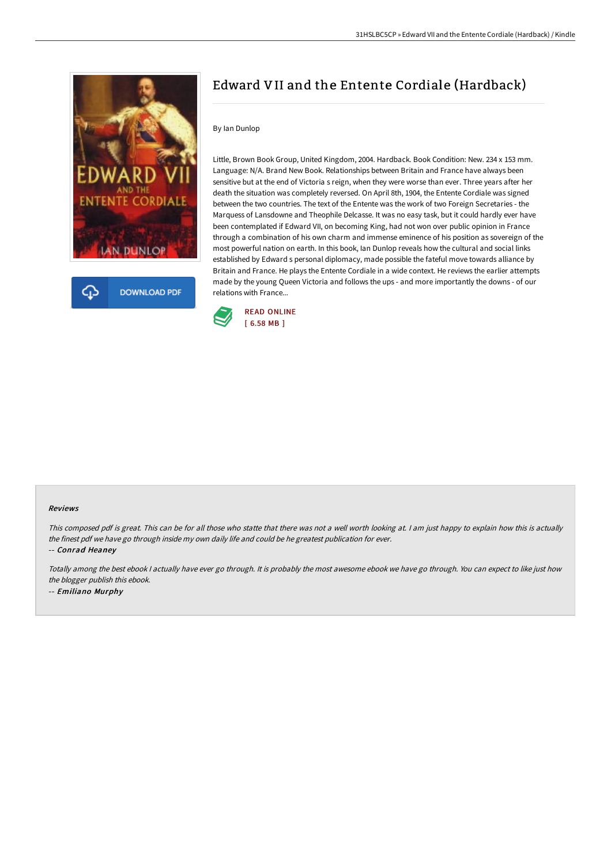

**DOWNLOAD PDF** Ω

# Edward VII and the Entente Cordiale (Hardback)

### By Ian Dunlop

Little, Brown Book Group, United Kingdom, 2004. Hardback. Book Condition: New. 234 x 153 mm. Language: N/A. Brand New Book. Relationships between Britain and France have always been sensitive but at the end of Victoria s reign, when they were worse than ever. Three years after her death the situation was completely reversed. On April 8th, 1904, the Entente Cordiale was signed between the two countries. The text of the Entente was the work of two Foreign Secretaries - the Marquess of Lansdowne and Theophile Delcasse. It was no easy task, but it could hardly ever have been contemplated if Edward VII, on becoming King, had not won over public opinion in France through a combination of his own charm and immense eminence of his position as sovereign of the most powerful nation on earth. In this book, Ian Dunlop reveals how the cultural and social links established by Edward s personal diplomacy, made possible the fateful move towards alliance by Britain and France. He plays the Entente Cordiale in a wide context. He reviews the earlier attempts made by the young Queen Victoria and follows the ups - and more importantly the downs - of our relations with France...



#### Reviews

This composed pdf is great. This can be for all those who statte that there was not a well worth looking at. I am just happy to explain how this is actually the finest pdf we have go through inside my own daily life and could be he greatest publication for ever.

-- Conrad Heaney

Totally among the best ebook I actually have ever go through. It is probably the most awesome ebook we have go through. You can expect to like just how the blogger publish this ebook. -- Emiliano Murphy